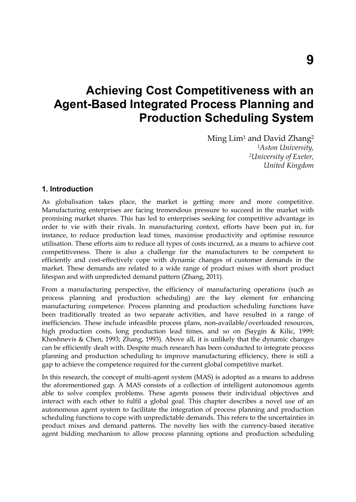# **Achieving Cost Competitiveness with an Agent-Based Integrated Process Planning and Production Scheduling System**

Ming Lim<sup>1</sup> and David Zhang<sup>2</sup>  *1Aston University, 2University of Exeter, United Kingdom* 

#### **1. Introduction**

As globalisation takes place, the market is getting more and more competitive. Manufacturing enterprises are facing tremendous pressure to succeed in the market with promising market shares. This has led to enterprises seeking for competitive advantage in order to vie with their rivals. In manufacturing context, efforts have been put in, for instance, to reduce production lead times, maximise productivity and optimise resource utilisation. These efforts aim to reduce all types of costs incurred, as a means to achieve cost competitiveness. There is also a challenge for the manufacturers to be competent to efficiently and cost-effectively cope with dynamic changes of customer demands in the market. These demands are related to a wide range of product mixes with short product lifespan and with unpredicted demand pattern (Zhang, 2011).

From a manufacturing perspective, the efficiency of manufacturing operations (such as process planning and production scheduling) are the key element for enhancing manufacturing competence. Process planning and production scheduling functions have been traditionally treated as two separate activities, and have resulted in a range of inefficiencies. These include infeasible process plans, non-available/overloaded resources, high production costs, long production lead times, and so on (Saygin & Kilic, 1999; Khoshnevis & Chen, 1993; Zhang, 1993). Above all, it is unlikely that the dynamic changes can be efficiently dealt with. Despite much research has been conducted to integrate process planning and production scheduling to improve manufacturing efficiency, there is still a gap to achieve the competence required for the current global competitive market.

In this research, the concept of multi-agent system (MAS) is adopted as a means to address the aforementioned gap. A MAS consists of a collection of intelligent autonomous agents able to solve complex problems. These agents possess their individual objectives and interact with each other to fulfil a global goal. This chapter describes a novel use of an autonomous agent system to facilitate the integration of process planning and production scheduling functions to cope with unpredictable demands. This refers to the uncertainties in product mixes and demand patterns. The novelty lies with the currency-based iterative agent bidding mechanism to allow process planning options and production scheduling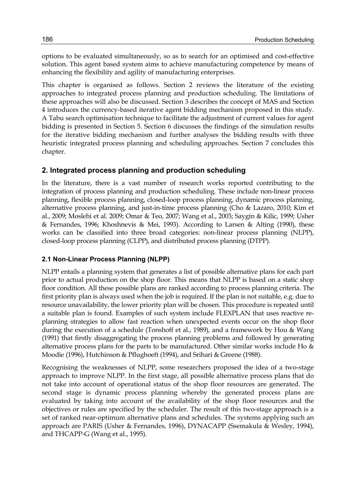options to be evaluated simultaneously, so as to search for an optimised and cost-effective solution. This agent based system aims to achieve manufacturing competence by means of enhancing the flexibility and agility of manufacturing enterprises.

This chapter is organised as follows. Section 2 reviews the literature of the existing approaches to integrated process planning and production scheduling. The limitations of these approaches will also be discussed. Section 3 describes the concept of MAS and Section 4 introduces the currency-based iterative agent bidding mechanism proposed in this study. A Tabu search optimisation technique to facilitate the adjustment of current values for agent bidding is presented in Section 5. Section 6 discusses the findings of the simulation results for the iterative bidding mechanism and further analyses the bidding results with three heuristic integrated process planning and scheduling approaches. Section 7 concludes this chapter.

# **2. Integrated process planning and production scheduling**

In the literature, there is a vast number of research works reported contributing to the integration of process planning and production scheduling. These include non-linear process planning, flexible process planning, closed-loop process planning, dynamic process planning, alternative process planning, and just-in-time process planning (Cho & Lazaro, 2010; Kim et al., 2009; Moslehi et al. 2009; Omar & Teo, 2007; Wang et al., 2003; Saygin & Kilic, 1999; Usher & Fernandes, 1996; Khoshnevis & Mei, 1993). According to Larsen & Alting (1990), these works can be classified into three broad categories: non-linear process planning (NLPP), closed-loop process planning (CLPP), and distributed process planning (DTPP).

# **2.1 Non-Linear Process Planning (NLPP)**

NLPP entails a planning system that generates a list of possible alternative plans for each part prior to actual production on the shop floor. This means that NLPP is based on a static shop floor condition. All these possible plans are ranked according to process planning criteria. The first priority plan is always used when the job is required. If the plan is not suitable, e.g. due to resource unavailability, the lower priority plan will be chosen. This procedure is repeated until a suitable plan is found. Examples of such system include FLEXPLAN that uses reactive replanning strategies to allow fast reaction when unexpected events occur on the shop floor during the execution of a schedule (Tonshoff et al., 1989), and a framework by Hou & Wang (1991) that firstly disaggregating the process planning problems and followed by generating alternative process plans for the parts to be manufactured. Other similar works include Ho & Moodie (1996), Hutchinson & Pflughoeft (1994), and Srihari & Greene (1988).

Recognising the weaknesses of NLPP, some researchers proposed the idea of a two-stage approach to improve NLPP. In the first stage, all possible alternative process plans that do not take into account of operational status of the shop floor resources are generated. The second stage is dynamic process planning whereby the generated process plans are evaluated by taking into account of the availability of the shop floor resources and the objectives or rules are specified by the scheduler. The result of this two-stage approach is a set of ranked near-optimum alternative plans and schedules. The systems applying such an approach are PARIS (Usher & Fernandes, 1996), DYNACAPP (Ssemakula & Wesley, 1994), and THCAPP-G (Wang et al., 1995).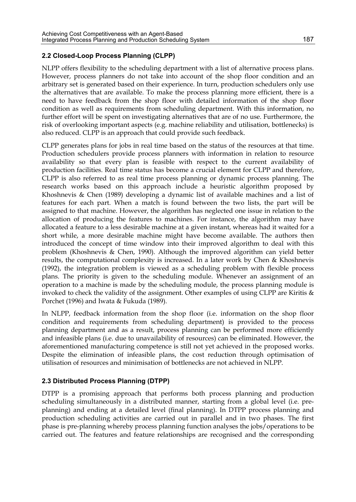#### **2.2 Closed-Loop Process Planning (CLPP)**

NLPP offers flexibility to the scheduling department with a list of alternative process plans. However, process planners do not take into account of the shop floor condition and an arbitrary set is generated based on their experience. In turn, production schedulers only use the alternatives that are available. To make the process planning more efficient, there is a need to have feedback from the shop floor with detailed information of the shop floor condition as well as requirements from scheduling department. With this information, no further effort will be spent on investigating alternatives that are of no use. Furthermore, the risk of overlooking important aspects (e.g. machine reliability and utilisation, bottlenecks) is also reduced. CLPP is an approach that could provide such feedback.

CLPP generates plans for jobs in real time based on the status of the resources at that time. Production schedulers provide process planners with information in relation to resource availability so that every plan is feasible with respect to the current availability of production facilities. Real time status has become a crucial element for CLPP and therefore, CLPP is also referred to as real time process planning or dynamic process planning. The research works based on this approach include a heuristic algorithm proposed by Khoshnevis & Chen (1989) developing a dynamic list of available machines and a list of features for each part. When a match is found between the two lists, the part will be assigned to that machine. However, the algorithm has neglected one issue in relation to the allocation of producing the features to machines. For instance, the algorithm may have allocated a feature to a less desirable machine at a given instant, whereas had it waited for a short while, a more desirable machine might have become available. The authors then introduced the concept of time window into their improved algorithm to deal with this problem (Khoshnevis & Chen, 1990). Although the improved algorithm can yield better results, the computational complexity is increased. In a later work by Chen & Khoshnevis (1992), the integration problem is viewed as a scheduling problem with flexible process plans. The priority is given to the scheduling module. Whenever an assignment of an operation to a machine is made by the scheduling module, the process planning module is invoked to check the validity of the assignment. Other examples of using CLPP are Kiritis & Porchet (1996) and Iwata & Fukuda (1989).

In NLPP, feedback information from the shop floor (i.e. information on the shop floor condition and requirements from scheduling department) is provided to the process planning department and as a result, process planning can be performed more efficiently and infeasible plans (i.e. due to unavailability of resources) can be eliminated. However, the aforementioned manufacturing competence is still not yet achieved in the proposed works. Despite the elimination of infeasible plans, the cost reduction through optimisation of utilisation of resources and minimisation of bottlenecks are not achieved in NLPP.

#### **2.3 Distributed Process Planning (DTPP)**

DTPP is a promising approach that performs both process planning and production scheduling simultaneously in a distributed manner, starting from a global level (i.e. preplanning) and ending at a detailed level (final planning). In DTPP process planning and production scheduling activities are carried out in parallel and in two phases. The first phase is pre-planning whereby process planning function analyses the jobs/operations to be carried out. The features and feature relationships are recognised and the corresponding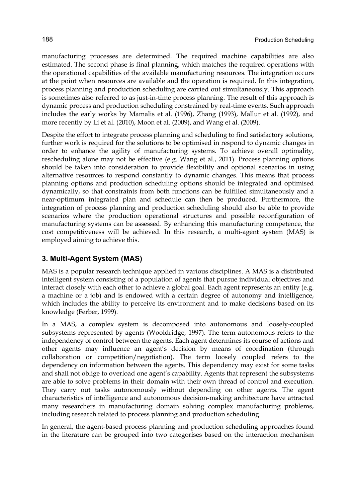manufacturing processes are determined. The required machine capabilities are also estimated. The second phase is final planning, which matches the required operations with the operational capabilities of the available manufacturing resources. The integration occurs at the point when resources are available and the operation is required. In this integration, process planning and production scheduling are carried out simultaneously. This approach is sometimes also referred to as just-in-time process planning. The result of this approach is dynamic process and production scheduling constrained by real-time events. Such approach includes the early works by Mamalis et al. (1996), Zhang (1993), Mallur et al. (1992), and more recently by Li et al. (2010), Moon et al. (2009), and Wang et al. (2009).

Despite the effort to integrate process planning and scheduling to find satisfactory solutions, further work is required for the solutions to be optimised in respond to dynamic changes in order to enhance the agility of manufacturing systems. To achieve overall optimality, rescheduling alone may not be effective (e.g. Wang et al., 2011). Process planning options should be taken into consideration to provide flexibility and optional scenarios in using alternative resources to respond constantly to dynamic changes. This means that process planning options and production scheduling options should be integrated and optimised dynamically, so that constraints from both functions can be fulfilled simultaneously and a near-optimum integrated plan and schedule can then be produced. Furthermore, the integration of process planning and production scheduling should also be able to provide scenarios where the production operational structures and possible reconfiguration of manufacturing systems can be assessed. By enhancing this manufacturing competence, the cost competitiveness will be achieved. In this research, a multi-agent system (MAS) is employed aiming to achieve this.

# **3. Multi-Agent System (MAS)**

MAS is a popular research technique applied in various disciplines. A MAS is a distributed intelligent system consisting of a population of agents that pursue individual objectives and interact closely with each other to achieve a global goal. Each agent represents an entity (e.g. a machine or a job) and is endowed with a certain degree of autonomy and intelligence, which includes the ability to perceive its environment and to make decisions based on its knowledge (Ferber, 1999).

In a MAS, a complex system is decomposed into autonomous and loosely-coupled subsystems represented by agents (Wooldridge, 1997). The term autonomous refers to the independency of control between the agents. Each agent determines its course of actions and other agents may influence an agent's decision by means of coordination (through collaboration or competition/negotiation). The term loosely coupled refers to the dependency on information between the agents. This dependency may exist for some tasks and shall not oblige to overload one agent's capability. Agents that represent the subsystems are able to solve problems in their domain with their own thread of control and execution. They carry out tasks autonomously without depending on other agents. The agent characteristics of intelligence and autonomous decision-making architecture have attracted many researchers in manufacturing domain solving complex manufacturing problems, including research related to process planning and production scheduling.

In general, the agent-based process planning and production scheduling approaches found in the literature can be grouped into two categorises based on the interaction mechanism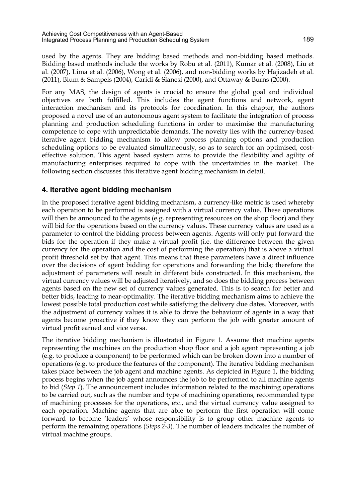used by the agents. They are bidding based methods and non-bidding based methods. Bidding based methods include the works by Robu et al. (2011), Kumar et al. (2008), Liu et al. (2007), Lima et al. (2006), Wong et al. (2006), and non-bidding works by Hajizadeh et al. (2011), Blum & Sampels (2004), Caridi & Sianesi (2000), and Ottaway & Burns (2000).

For any MAS, the design of agents is crucial to ensure the global goal and individual objectives are both fulfilled. This includes the agent functions and network, agent interaction mechanism and its protocols for coordination. In this chapter, the authors proposed a novel use of an autonomous agent system to facilitate the integration of process planning and production scheduling functions in order to maximise the manufacturing competence to cope with unpredictable demands. The novelty lies with the currency-based iterative agent bidding mechanism to allow process planning options and production scheduling options to be evaluated simultaneously, so as to search for an optimised, costeffective solution. This agent based system aims to provide the flexibility and agility of manufacturing enterprises required to cope with the uncertainties in the market. The following section discusses this iterative agent bidding mechanism in detail.

# **4. Iterative agent bidding mechanism**

In the proposed iterative agent bidding mechanism, a currency-like metric is used whereby each operation to be performed is assigned with a virtual currency value. These operations will then be announced to the agents (e.g. representing resources on the shop floor) and they will bid for the operations based on the currency values. These currency values are used as a parameter to control the bidding process between agents. Agents will only put forward the bids for the operation if they make a virtual profit (i.e. the difference between the given currency for the operation and the cost of performing the operation) that is above a virtual profit threshold set by that agent. This means that these parameters have a direct influence over the decisions of agent bidding for operations and forwarding the bids; therefore the adjustment of parameters will result in different bids constructed. In this mechanism, the virtual currency values will be adjusted iteratively, and so does the bidding process between agents based on the new set of currency values generated. This is to search for better and better bids, leading to near-optimality. The iterative bidding mechanism aims to achieve the lowest possible total production cost while satisfying the delivery due dates. Moreover, with the adjustment of currency values it is able to drive the behaviour of agents in a way that agents become proactive if they know they can perform the job with greater amount of virtual profit earned and vice versa.

The iterative bidding mechanism is illustrated in Figure 1. Assume that machine agents representing the machines on the production shop floor and a job agent representing a job (e.g. to produce a component) to be performed which can be broken down into a number of operations (e.g. to produce the features of the component). The iterative bidding mechanism takes place between the job agent and machine agents. As depicted in Figure 1, the bidding process begins when the job agent announces the job to be performed to all machine agents to bid (*Step 1*). The announcement includes information related to the machining operations to be carried out, such as the number and type of machining operations, recommended type of machining processes for the operations, etc., and the virtual currency value assigned to each operation. Machine agents that are able to perform the first operation will come forward to become 'leaders' whose responsibility is to group other machine agents to perform the remaining operations (*Steps 2-3*). The number of leaders indicates the number of virtual machine groups.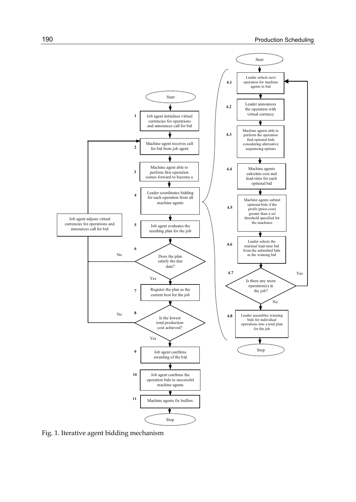

Fig. 1. Iterative agent bidding mechanism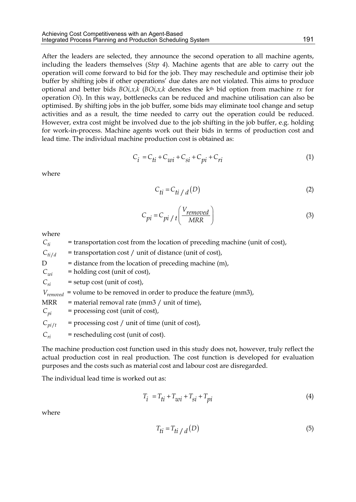After the leaders are selected, they announce the second operation to all machine agents, including the leaders themselves (*Step 4*). Machine agents that are able to carry out the operation will come forward to bid for the job. They may reschedule and optimise their job buffer by shifting jobs if other operations' due dates are not violated. This aims to produce optional and better bids  $BOi, x, k$  ( $BOi, x, k$  denotes the k<sup>th</sup> bid option from machine *rx* for operation *Oi*). In this way, bottlenecks can be reduced and machine utilisation can also be optimised. By shifting jobs in the job buffer, some bids may eliminate tool change and setup activities and as a result, the time needed to carry out the operation could be reduced. However, extra cost might be involved due to the job shifting in the job buffer, e.g. holding for work-in-process. Machine agents work out their bids in terms of production cost and lead time. The individual machine production cost is obtained as:

$$
C_i = C_{ti} + C_{wi} + C_{si} + C_{pi} + C_{ri}
$$
\n
$$
\tag{1}
$$

where

$$
C_{ti} = C_{ti / d}(D) \tag{2}
$$

$$
C_{pi} = C_{pi} / t \left(\frac{V_{removed}}{MRR}\right)
$$
 (3)

where

 $C_{ti}$  = transportation cost from the location of preceding machine (unit of cost),  $C_{ti/d}$  = transportation cost / unit of distance (unit of cost),  $D =$  distance from the location of preceding machine (m),  $C_{wi}$  = holding cost (unit of cost),  $C_{si}$  = setup cost (unit of cost),  $V_{removed}$  = volume to be removed in order to produce the feature (mm3), MRR = material removal rate (mm3 / unit of time),  $C_{pi}$  = processing cost (unit of cost),  $C_{ni/t}$  = processing cost / unit of time (unit of cost),  $C_{ri}$  = rescheduling cost (unit of cost).

The machine production cost function used in this study does not, however, truly reflect the actual production cost in real production. The cost function is developed for evaluation purposes and the costs such as material cost and labour cost are disregarded.

The individual lead time is worked out as:

$$
T_i = T_{ti} + T_{wi} + T_{si} + T_{pi}
$$
\n<sup>(4)</sup>

where

$$
T_{ti} = T_{ti / d}(D) \tag{5}
$$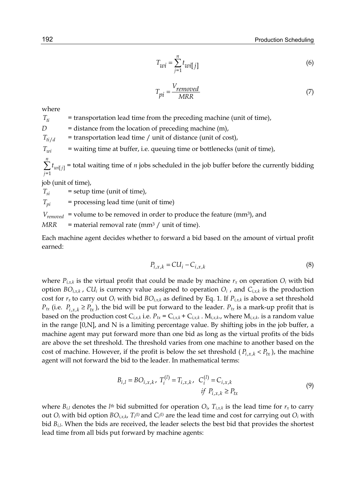$$
T_{wij} = \sum_{j=1}^{n} t_{wi[j]}
$$
 (6)

$$
T_{pi} = \frac{V_{removed}}{MRR}
$$
 (7)

where

 $T_{ti}$  = transportation lead time from the preceding machine (unit of time),

*D* = distance from the location of preceding machine (m),

 $T_{tid}$  = transportation lead time / unit of distance (unit of cost),

 $T_{wi}$  = waiting time at buffer, i.e. queuing time or bottlenecks (unit of time),

 $\sum_{i=1}^{l} w_i[j]$ *n*  $\sum_{j=1} t_{wijj}$  = total waiting time of *n* jobs scheduled in the job buffer before the currently bidding

job (unit of time),

 $T_{si}$  = setup time (unit of time),

 $T_{ni}$  = processing lead time (unit of time)

 $V_{romoned}$  = volume to be removed in order to produce the feature (mm<sup>3</sup>), and

 $MRR$  = material removal rate (mm<sup>3</sup> / unit of time).

Each machine agent decides whether to forward a bid based on the amount of virtual profit earned:

$$
P_{i,x,k} = CU_i - C_{i,x,k}
$$
\n<sup>(8)</sup>

where  $P_{i,x,k}$  is the virtual profit that could be made by machine  $r_x$  on operation  $O_i$  with bid option  $BO_{i,x,k}$ ,  $CU_i$  is currency value assigned to operation  $O_i$ , and  $C_{i,x,k}$  is the production cost for  $r_x$  to carry out  $O_i$  with bid  $BO_{i,x,k}$  as defined by Eq. 1. If  $P_{i,x,k}$  is above a set threshold *P<sub>tx</sub>* (i.e.  $P_{i.x,k} \geq P_{tx}$ ), the bid will be put forward to the leader.  $P_{tx}$  is a mark-up profit that is based on the production cost  $C_{i,x,k}$  i.e.  $P_{tx} = C_{i,x,k} + C_{i,x,k}$ .  $M_{i,x,k}$ , where  $M_{i,x,k}$ . is a random value in the range [0,N], and N is a limiting percentage value. By shifting jobs in the job buffer, a machine agent may put forward more than one bid as long as the virtual profits of the bids are above the set threshold. The threshold varies from one machine to another based on the cost of machine. However, if the profit is below the set threshold  $(P_{i, k} < P_{i})$ , the machine agent will not forward the bid to the leader. In mathematical terms:

$$
B_{i,l} = BO_{i,x,k}, T_i^{(l)} = T_{i,x,k}, C_i^{(l)} = C_{i,x,k}
$$
  
if  $P_{i,x,k} \ge P_{tx}$  (9)

where  $B_{i,l}$  denotes the *l<sup>th</sup>* bid submitted for operation  $O_i$ ,  $T_{i,x,k}$  is the lead time for  $r_x$  to carry out  $O_i$  with bid option  $BO_{i,x,k}$ ,  $T_i$ <sup>(*l*)</sup> and  $C_i$ <sup>(*l*)</sup> are the lead time and cost for carrying out  $O_i$  with bid *Bi,l*. When the bids are received, the leader selects the best bid that provides the shortest lead time from all bids put forward by machine agents: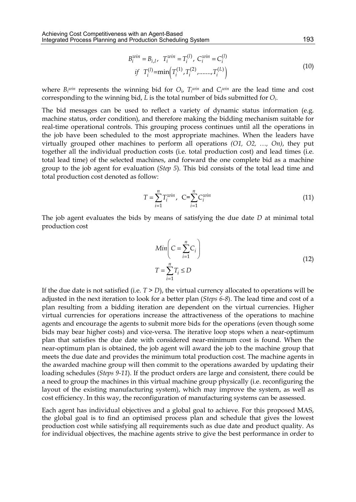$$
B_i^{win} = B_{i,l}, \quad T_i^{win} = T_i^{(l)}, \quad C_i^{win} = C_i^{(l)}
$$
  
if  $T_i^{(l)} = \min\left(T_i^{(1)}, T_i^{(2)}, \dots, T_i^{(L)}\right)$  (10)

where  $B_i$ <sup>*win*</sup> represents the winning bid for  $O_i$ ,  $T_i$ *win* and  $C_i$ *win* are the lead time and cost corresponding to the winning bid, *L* is the total number of bids submitted for *Oi*.

The bid messages can be used to reflect a variety of dynamic status information (e.g. machine status, order condition), and therefore making the bidding mechanism suitable for real-time operational controls. This grouping process continues until all the operations in the job have been scheduled to the most appropriate machines. When the leaders have virtually grouped other machines to perform all operations *(O1, O2, …, On)*, they put together all the individual production costs (i.e. total production cost) and lead times (i.e. total lead time) of the selected machines, and forward the one complete bid as a machine group to the job agent for evaluation (*Step 5*). This bid consists of the total lead time and total production cost denoted as follow:

$$
T = \sum_{i=1}^{n} T_i^{win}, \ \ C = \sum_{i=1}^{n} C_i^{win}
$$
 (11)

The job agent evaluates the bids by means of satisfying the due date *D* at minimal total production cost

$$
Min\left(C = \sum_{i=1}^{n} C_i\right)
$$
  

$$
T = \sum_{i=1}^{n} T_i \le D
$$
 (12)

If the due date is not satisfied (i.e. *T > D*), the virtual currency allocated to operations will be adjusted in the next iteration to look for a better plan (*Steps 6-8*). The lead time and cost of a plan resulting from a bidding iteration are dependent on the virtual currencies. Higher virtual currencies for operations increase the attractiveness of the operations to machine agents and encourage the agents to submit more bids for the operations (even though some bids may bear higher costs) and vice-versa. The iterative loop stops when a near-optimum plan that satisfies the due date with considered near-minimum cost is found. When the near-optimum plan is obtained, the job agent will award the job to the machine group that meets the due date and provides the minimum total production cost. The machine agents in the awarded machine group will then commit to the operations awarded by updating their loading schedules (*Steps 9-11*). If the product orders are large and consistent, there could be a need to group the machines in this virtual machine group physically (i.e. reconfiguring the layout of the existing manufacturing system), which may improve the system, as well as cost efficiency. In this way, the reconfiguration of manufacturing systems can be assessed.

Each agent has individual objectives and a global goal to achieve. For this proposed MAS, the global goal is to find an optimised process plan and schedule that gives the lowest production cost while satisfying all requirements such as due date and product quality. As for individual objectives, the machine agents strive to give the best performance in order to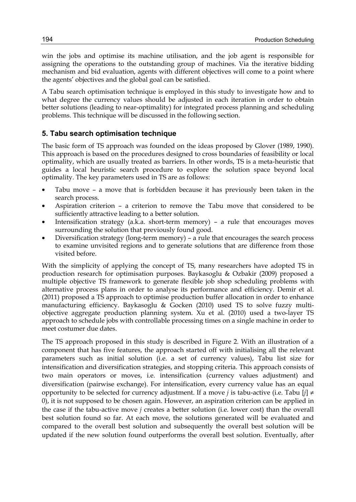win the jobs and optimise its machine utilisation, and the job agent is responsible for assigning the operations to the outstanding group of machines. Via the iterative bidding mechanism and bid evaluation, agents with different objectives will come to a point where the agents' objectives and the global goal can be satisfied.

A Tabu search optimisation technique is employed in this study to investigate how and to what degree the currency values should be adjusted in each iteration in order to obtain better solutions (leading to near-optimality) for integrated process planning and scheduling problems. This technique will be discussed in the following section.

# **5. Tabu search optimisation technique**

The basic form of TS approach was founded on the ideas proposed by Glover (1989, 1990). This approach is based on the procedures designed to cross boundaries of feasibility or local optimality, which are usually treated as barriers. In other words, TS is a meta-heuristic that guides a local heuristic search procedure to explore the solution space beyond local optimality. The key parameters used in TS are as follows:

- Tabu move a move that is forbidden because it has previously been taken in the search process.
- Aspiration criterion a criterion to remove the Tabu move that considered to be sufficiently attractive leading to a better solution.
- Intensification strategy (a.k.a. short-term memory) a rule that encourages moves surrounding the solution that previously found good.
- Diversification strategy (long-term memory) a rule that encourages the search process to examine unvisited regions and to generate solutions that are difference from those visited before.

With the simplicity of applying the concept of TS, many researchers have adopted TS in production research for optimisation purposes. Baykasoglu & Ozbakir (2009) proposed a multiple objective TS framework to generate flexible job shop scheduling problems with alternative process plans in order to analyse its performance and efficiency. Demir et al. (2011) proposed a TS approach to optimise production buffer allocation in order to enhance manufacturing efficiency. Baykasoglu & Gocken (2010) used TS to solve fuzzy multiobjective aggregate production planning system. Xu et al. (2010) used a two-layer TS approach to schedule jobs with controllable processing times on a single machine in order to meet costumer due dates.

The TS approach proposed in this study is described in Figure 2. With an illustration of a component that has five features, the approach started off with initialising all the relevant parameters such as initial solution (i.e. a set of currency values), Tabu list size for intensification and diversification strategies, and stopping criteria. This approach consists of two main operators or moves, i.e. intensification (currency values adjustment) and diversification (pairwise exchange). For intensification, every currency value has an equal opportunity to be selected for currency adjustment. If a move *j* is tabu-active (i.e. Tabu  $[j] \neq$ 0), it is not supposed to be chosen again. However, an aspiration criterion can be applied in the case if the tabu-active move *j* creates a better solution (i.e. lower cost) than the overall best solution found so far. At each move, the solutions generated will be evaluated and compared to the overall best solution and subsequently the overall best solution will be updated if the new solution found outperforms the overall best solution. Eventually, after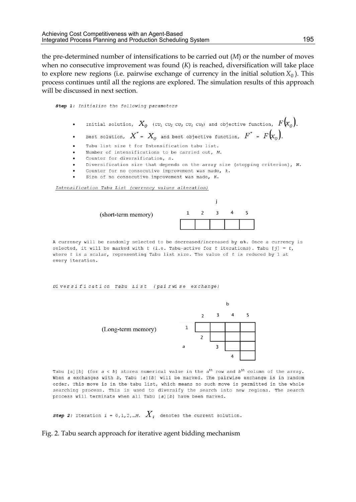the pre-determined number of intensifications to be carried out (*M*) or the number of moves when no consecutive improvement was found (*K*) is reached, diversification will take place to explore new regions (i.e. pairwise exchange of currency in the initial solution  $X_0$ ). This process continues until all the regions are explored. The simulation results of this approach will be discussed in next section.

step 1: Initialise the following parameters

- Initial solution,  $X_0$  (CU<sub>1</sub> CU<sub>2</sub> CU<sub>3</sub> CU<sub>4</sub> CU<sub>5</sub>) and objective function,  $F(x_0)$ .
- Best solution,  $X^*$  =  $X_0$  and best objective function,  $F^*$  =  $F(x_0)$ .
- Tabu list size t for Intensification tabu list.
- Number of intensifications to be carried out, M.
- Counter for diversification, n.
- Diversification size that depends on the array size (stopping criterion), N.
- Counter for no consecutive improvement was made, k.
- Size of no consecutive improvement was made, K.

Intensification Tabu List (currency values alteration)



A currency will be randomly selected to be decreased/increased by  $\alpha$ %. Once a currency is selected, it will be marked with t (i.e. Tabu-active for t iterations). Tabu [j] = t, where  $t$  is a scalar, representing Tabu list size. The value of  $t$  is reduced by 1 at every iteration.

Diversification Tabu List (pairwise exchange)



Tabu [a][b] (for  $a < b$ ) stores numerical value in the  $a^{th}$  row and  $b^{th}$  column of the array. When  $a$  exchanges with  $b$ , Tabu [ $a$ ][ $b$ ] will be marked. The pairwise exchange is in random order. This move is in the tabu list, which means no such move is permitted in the whole searching process. This is used to diversify the search into new regions. The search process will terminate when all Tabu [a] [b] have been marked.

**step 2:** Iteration  $i = 0, 1, 2, ...M$ .  $X_i$  denotes the current solution.

#### Fig. 2. Tabu search approach for iterative agent bidding mechanism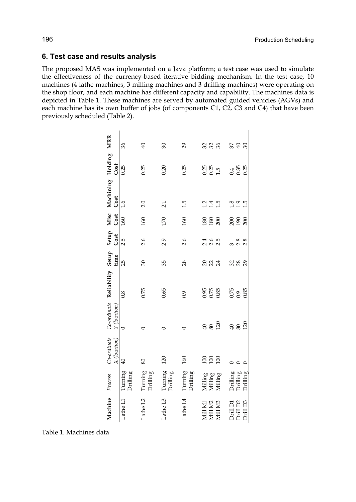#### **6. Test case and results analysis**

The proposed MAS was implemented on a Java platform; a test case was used to simulate the effectiveness of the currency-based iterative bidding mechanism. In the test case, 10 machines (4 lathe machines, 3 milling machines and 3 drilling machines) were operating on the shop floor, and each machine has different capacity and capability. The machines data is depicted in Table 1. These machines are served by automated guided vehicles (AGVs) and each machine has its own buffer of jobs (of components C1, C2, C3 and C4) that have been previously scheduled (Table 2).

|                        | <b>MRR</b>                  | 36                  | $\overline{40}$      | $\overline{\mathrm{30}}$ | 29                   |                 | 328               |         | 77              | 40                   | $\mathcal{E}$ |
|------------------------|-----------------------------|---------------------|----------------------|--------------------------|----------------------|-----------------|-------------------|---------|-----------------|----------------------|---------------|
|                        | Cost                        | 0.25                | 0.25                 | 0.20                     | 0.25                 | 0.25            | 0.25              | 1.5     | 0.4             | 0.35                 | 0.25          |
|                        | Machining Holding<br>Cost   | $\frac{9}{10}$      | 2.0                  | 2.1                      | 1.5                  | $\overline{12}$ | 1.4               | 1.5     | 1.8             | $\overline{1.9}$     | 1.5           |
|                        | Misc<br>Cost                | 160                 | 160                  | 170                      | 160                  | 180             | 180               | 200     | 200             | 190                  | 200           |
|                        | Setup<br>Cost               | 2.5                 | 2.6                  | 2.9                      | 2.6                  | 2.4             | 2.6               | 2.5     | 6               | 2.8                  | 2.8           |
|                        | Setup<br>time               | 25                  | 30                   | 35                       | 28                   |                 | នងង               |         |                 | 32 <sub>8</sub>      | $_{29}$       |
|                        | Co-ordinate Reliability     | 0.8                 | 0.75                 | 0.65                     | 0.9                  |                 | 95<br>0.5<br>0.95 |         | 0.75            | 0.9                  | 0.85          |
|                        | Y (location)                | $\circ$             | 0                    | 0                        | $\circ$              | $\overline{40}$ | 80                | 120     | $\overline{40}$ | $80\,$               | 120           |
|                        | Co-ordinate<br>X (location) | $\overline{40}$     | 80                   | 120                      | 160                  | $\frac{100}{2}$ | 100               | 100     | $\circ$         | $\circ$              | $\circ$       |
|                        | Process                     | Turning<br>Drilling | Turning<br>Drilling  | Turning<br>Drilling      | Turning<br>Drilling  | Milling         | Milling           | Milling | Drilling        | Drilling             | Drilling      |
|                        | Machine                     | Lathe L1            | Lathe L <sub>2</sub> | Lathe <sub>L3</sub>      | Lathe L <sub>4</sub> | Nill M1         | Mill M2           | Mill M3 | Drill D1        | Drill D <sub>2</sub> | Drill D3      |
| Table 1. Machines data |                             |                     |                      |                          |                      |                 |                   |         |                 |                      |               |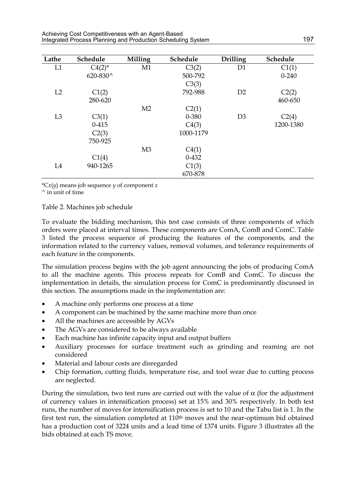| Lathe          | Schedule  | Milling        | Schedule  | Drilling       | Schedule  |
|----------------|-----------|----------------|-----------|----------------|-----------|
| L1             | $C4(2)$ * | M1             | C3(2)     | D <sub>1</sub> | C1(1)     |
|                | 620-830^  |                | 500-792   |                | $0 - 240$ |
|                |           |                | C3(3)     |                |           |
| L2             | C1(2)     |                | 792-988   | D2             | C2(2)     |
|                | 280-620   |                |           |                | 460-650   |
|                |           | M <sub>2</sub> | C2(1)     |                |           |
| L <sub>3</sub> | C3(1)     |                | 0-380     | D <sub>3</sub> | C2(4)     |
|                | $0 - 415$ |                | C4(3)     |                | 1200-1380 |
|                | C2(3)     |                | 1000-1179 |                |           |
|                | 750-925   |                |           |                |           |
|                |           | M <sub>3</sub> | C4(1)     |                |           |
|                | C1(4)     |                | $0 - 432$ |                |           |
| L4             | 940-1265  |                | C1(3)     |                |           |
|                |           |                | 670-878   |                |           |

\*C*x*(*y*) means job sequence *y* of component *x* 

 $\wedge$  in unit of time

#### Table 2. Machines job schedule

To evaluate the bidding mechanism, this test case consists of three components of which orders were placed at interval times. These components are ComA, ComB and ComC. Table 3 listed the process sequence of producing the features of the components, and the information related to the currency values, removal volumes, and tolerance requirements of each feature in the components.

The simulation process begins with the job agent announcing the jobs of producing ComA to all the machine agents. This process repeats for ComB and ComC. To discuss the implementation in details, the simulation process for ComC is predominantly discussed in this section. The assumptions made in the implementation are:

- A machine only performs one process at a time
- A component can be machined by the same machine more than once
- All the machines are accessible by AGVs
- The AGVs are considered to be always available
- Each machine has infinite capacity input and output buffers
- Auxiliary processes for surface treatment such as grinding and reaming are not considered
- Material and labour costs are disregarded
- Chip formation, cutting fluids, temperature rise, and tool wear due to cutting process are neglected.

During the simulation, two test runs are carried out with the value of  $\alpha$  (for the adjustment of currency values in intensification process) set at 15% and 30% respectively. In both test runs, the number of moves for intensification process is set to 10 and the Tabu list is 1. In the first test run, the simulation completed at 110<sup>th</sup> moves and the near-optimum bid obtained has a production cost of 3224 units and a lead time of 1374 units. Figure 3 illustrates all the bids obtained at each TS move.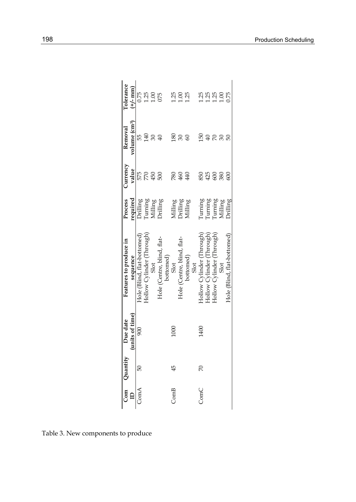|                                    | Tolerance<br>$(+/-$ mm               | 0.75                        | 1.25                      | $1.00\,$ | 075                                     | 1.25    | 00.1                       | 1.25              | 1.25                      |                           | $1.25$<br>$1.30$          |          | 0.75                        |
|------------------------------------|--------------------------------------|-----------------------------|---------------------------|----------|-----------------------------------------|---------|----------------------------|-------------------|---------------------------|---------------------------|---------------------------|----------|-----------------------------|
|                                    | volume (cm <sup>3</sup> )<br>Removal | 55                          | 140                       | $\infty$ | 40                                      | 180     | $\infty$                   | $\infty$          | 150                       | $\frac{1}{2}$             |                           | $\infty$ | 50                          |
|                                    | Currency<br>value                    | 575                         | 770                       | 450      | 500                                     | 780     | 460                        | 440               | 850                       | 425                       | 600                       | 380      | 600                         |
|                                    | required<br>Process                  | Drilling                    | Turning                   | Milling  | Drilling                                | Milling | Drilling                   | Milling           | Turning                   | Turning                   | Turning                   | Milling  | Drilling                    |
|                                    | Features to produce in<br>sequence   | Hole (Blind, flat-bottomed) | Hollow Cylinder (Through) | Slot     | Hole (Centre, blind, flat-<br>bottomed) | Slot    | Hole (Centre, blind, flat- | bottomed)<br>Slot | Hollow Cylinder (Through) | Hollow Cylinder (Through) | Hollow Cylinder (Through) | Slot     | Hole (Blind, flat-bottomed) |
|                                    | (units of time)<br>Due date          | 900                         |                           |          |                                         | 1000    |                            |                   | 1400                      |                           |                           |          |                             |
|                                    | Quantity                             | 50                          |                           |          |                                         | 45      |                            |                   | $\overline{\mathcal{R}}$  |                           |                           |          |                             |
|                                    | Com<br>₿                             | ComA                        |                           |          |                                         | ComB    |                            |                   | ComC                      |                           |                           |          |                             |
| Table 3. New components to produce |                                      |                             |                           |          |                                         |         |                            |                   |                           |                           |                           |          |                             |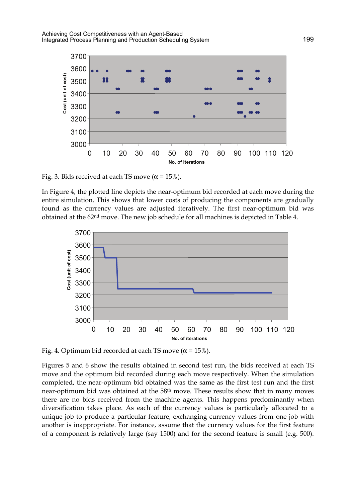

Fig. 3. Bids received at each TS move ( $\alpha$  = 15%).

In Figure 4, the plotted line depicts the near-optimum bid recorded at each move during the entire simulation. This shows that lower costs of producing the components are gradually found as the currency values are adjusted iteratively. The first near-optimum bid was obtained at the 62nd move. The new job schedule for all machines is depicted in Table 4.



Fig. 4. Optimum bid recorded at each TS move ( $\alpha$  = 15%).

Figures 5 and 6 show the results obtained in second test run, the bids received at each TS move and the optimum bid recorded during each move respectively. When the simulation completed, the near-optimum bid obtained was the same as the first test run and the first near-optimum bid was obtained at the 58th move. These results show that in many moves there are no bids received from the machine agents. This happens predominantly when diversification takes place. As each of the currency values is particularly allocated to a unique job to produce a particular feature, exchanging currency values from one job with another is inappropriate. For instance, assume that the currency values for the first feature of a component is relatively large (say 1500) and for the second feature is small (e.g. 500).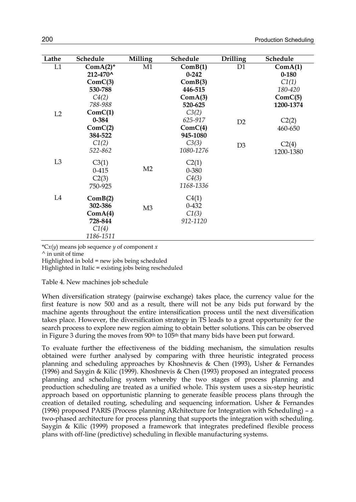| Lathe | Schedule   | Milling        | Schedule  | <b>Drilling</b> | Schedule  |
|-------|------------|----------------|-----------|-----------------|-----------|
| L1    | $ComA(2)*$ | M1             | ComB(1)   | D1              | ComA(1)   |
|       | 212-470^   |                | $0 - 242$ |                 | $0 - 180$ |
|       | ComC(3)    |                | ComB(3)   |                 | C1(1)     |
|       | 530-788    |                | 446-515   |                 | 180-420   |
|       | C4(2)      |                | ComA(3)   |                 | ComC(5)   |
|       | 788-988    |                | 520-625   |                 | 1200-1374 |
| L2    | ComC(1)    |                | C3(2)     |                 |           |
|       | 0-384      |                | 625-917   | D2              | C2(2)     |
|       | ComC(2)    |                | ComC(4)   |                 | 460-650   |
|       | 384-522    |                | 945-1080  |                 |           |
|       | C1(2)      |                | C3(3)     | D <sub>3</sub>  | C2(4)     |
|       | 522-862    |                | 1080-1276 |                 | 1200-1380 |
| L3    | C3(1)      |                | C2(1)     |                 |           |
|       | $0 - 415$  | M <sub>2</sub> | 0-380     |                 |           |
|       | C2(3)      |                | C4(3)     |                 |           |
|       | 750-925    |                | 1168-1336 |                 |           |
| L4    | ComB(2)    |                | C4(1)     |                 |           |
|       | 302-386    | M <sub>3</sub> | 0-432     |                 |           |
|       | ComA(4)    |                | C1(3)     |                 |           |
|       | 728-844    |                | 912-1120  |                 |           |
|       | C1(4)      |                |           |                 |           |
|       | 1186-1511  |                |           |                 |           |

\*C*x*(*y*) means job sequence *y* of component *x* 

 $\wedge$  in unit of time

Highlighted in bold = new jobs being scheduled

Highlighted in Italic = existing jobs being rescheduled

Table 4. New machines job schedule

When diversification strategy (pairwise exchange) takes place, the currency value for the first feature is now 500 and as a result, there will not be any bids put forward by the machine agents throughout the entire intensification process until the next diversification takes place. However, the diversification strategy in TS leads to a great opportunity for the search process to explore new region aiming to obtain better solutions. This can be observed in Figure 3 during the moves from 90<sup>th</sup> to 105<sup>th</sup> that many bids have been put forward.

To evaluate further the effectiveness of the bidding mechanism, the simulation results obtained were further analysed by comparing with three heuristic integrated process planning and scheduling approaches by Khoshnevis & Chen (1993), Usher & Fernandes (1996) and Saygin & Kilic (1999). Khoshnevis & Chen (1993) proposed an integrated process planning and scheduling system whereby the two stages of process planning and production scheduling are treated as a unified whole. This system uses a six-step heuristic approach based on opportunistic planning to generate feasible process plans through the creation of detailed routing, scheduling and sequencing information. Usher & Fernandes (1996) proposed PARIS (Process planning ARchitecture for Integration with Scheduling) – a two-phased architecture for process planning that supports the integration with scheduling. Saygin & Kilic (1999) proposed a framework that integrates predefined flexible process plans with off-line (predictive) scheduling in flexible manufacturing systems.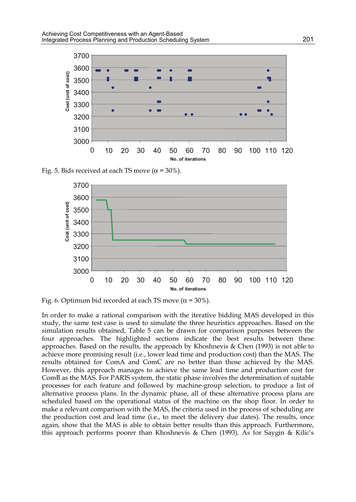

Fig. 5. Bids received at each TS move ( $\alpha$  = 30%).



Fig. 6. Optimum bid recorded at each TS move ( $\alpha$  = 30%).

In order to make a rational comparison with the iterative bidding MAS developed in this study, the same test case is used to simulate the three heuristics approaches. Based on the simulation results obtained, Table 5 can be drawn for comparison purposes between the four approaches. The highlighted sections indicate the best results between these approaches. Based on the results, the approach by Khoshnevis & Chen (1993) is not able to achieve more promising result (i.e., lower lead time and production cost) than the MAS. The results obtained for ComA and ComC are no better than those achieved by the MAS. However, this approach manages to achieve the same lead time and production cost for ComB as the MAS. For PARIS system, the static phase involves the determination of suitable processes for each feature and followed by machine-group selection, to produce a list of alternative process plans. In the dynamic phase, all of these alternative process plans are scheduled based on the operational status of the machine on the shop floor. In order to make a relevant comparison with the MAS, the criteria used in the process of scheduling are the production cost and lead time (i.e., to meet the delivery due dates). The results, once again, show that the MAS is able to obtain better results than this approach. Furthermore, this approach performs poorer than Khoshnevis & Chen (1993). As for Saygin & Kilic's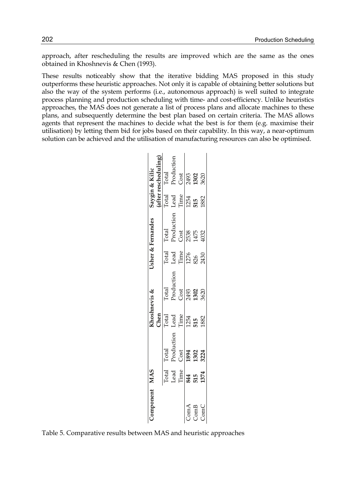approach, after rescheduling the results are improved which are the same as the ones obtained in Khoshnevis & Chen (1993).

These results noticeably show that the iterative bidding MAS proposed in this study outperforms these heuristic approaches. Not only it is capable of obtaining better solutions but also the way of the system performs (i.e., autonomous approach) is well suited to integrate process planning and production scheduling with time- and cost-efficiency. Unlike heuristics approaches, the MAS does not generate a list of process plans and allocate machines to these plans, and subsequently determine the best plan based on certain criteria. The MAS allows agents that represent the machines to decide what the best is for them (e.g. maximise their utilisation) by letting them bid for jobs based on their capability. In this way, a near-optimum solution can be achieved and the utilisation of manufacturing resources can also be optimised.

|                                                                   | Saygin & Kilic    | (after rescheduling) | Total | Production | Cost | 2493         | 1302 | 3620 |  |  |
|-------------------------------------------------------------------|-------------------|----------------------|-------|------------|------|--------------|------|------|--|--|
|                                                                   |                   |                      | Total | Lead       | Time | 1254         | 515  | 1882 |  |  |
|                                                                   | Usher & Fernandes |                      | Total | Production | Cost | 2538         | 1475 | 4032 |  |  |
|                                                                   |                   |                      | Total | Lead       | Time | 1276         | 826  | 2430 |  |  |
|                                                                   | Khoshnevis &      |                      | Total | Production | Cost | 2493<br>1302 |      | 3620 |  |  |
|                                                                   |                   | Chen                 | Total | Lead       | Time | 1254         | 515  | 1882 |  |  |
|                                                                   |                   |                      | Total | Production | Cost | 1894<br>1302 |      | 3224 |  |  |
|                                                                   |                   |                      | Total | Lead       | Time | 844          | 515  | 1374 |  |  |
|                                                                   | Component MAS     |                      |       |            |      | ComA         | ComB | ComC |  |  |
| Table 5. Comparative results between MAS and heuristic approaches |                   |                      |       |            |      |              |      |      |  |  |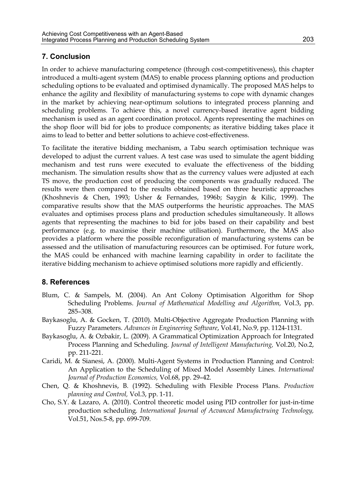# **7. Conclusion**

In order to achieve manufacturing competence (through cost-competitiveness), this chapter introduced a multi-agent system (MAS) to enable process planning options and production scheduling options to be evaluated and optimised dynamically. The proposed MAS helps to enhance the agility and flexibility of manufacturing systems to cope with dynamic changes in the market by achieving near-optimum solutions to integrated process planning and scheduling problems. To achieve this, a novel currency-based iterative agent bidding mechanism is used as an agent coordination protocol. Agents representing the machines on the shop floor will bid for jobs to produce components; as iterative bidding takes place it aims to lead to better and better solutions to achieve cost-effectiveness.

To facilitate the iterative bidding mechanism, a Tabu search optimisation technique was developed to adjust the current values. A test case was used to simulate the agent bidding mechanism and test runs were executed to evaluate the effectiveness of the bidding mechanism. The simulation results show that as the currency values were adjusted at each TS move, the production cost of producing the components was gradually reduced. The results were then compared to the results obtained based on three heuristic approaches (Khoshnevis & Chen, 1993; Usher & Fernandes, 1996b; Saygin & Kilic, 1999). The comparative results show that the MAS outperforms the heuristic approaches. The MAS evaluates and optimises process plans and production schedules simultaneously. It allows agents that representing the machines to bid for jobs based on their capability and best performance (e.g. to maximise their machine utilisation). Furthermore, the MAS also provides a platform where the possible reconfiguration of manufacturing systems can be assessed and the utilisation of manufacturing resources can be optimised. For future work, the MAS could be enhanced with machine learning capability in order to facilitate the iterative bidding mechanism to achieve optimised solutions more rapidly and efficiently.

# **8. References**

- Blum, C. & Sampels, M. (2004). An Ant Colony Optimisation Algorithm for Shop Scheduling Problems. *Journal of Mathematical Modelling and Algorithm,* Vol.3, pp. 285–308.
- Baykasoglu, A. & Gocken, T. (2010). Multi-Objective Aggregate Production Planning with Fuzzy Parameters. *Advances in Engineering Software*, Vol.41, No.9, pp. 1124-1131.
- Baykasoglu, A. & Ozbakir, L. (2009). A Grammatical Optimization Approach for Integrated Process Planning and Scheduling. *Journal of Intelligent Manufacturing,* Vol.20, No.2, pp. 211-221.
- Caridi, M. & Sianesi, A. (2000). Multi-Agent Systems in Production Planning and Control: An Application to the Scheduling of Mixed Model Assembly Lines*. International Journal of Production Economics,* Vol.68, pp. 29–42.
- Chen, Q. & Khoshnevis, B. (1992). Scheduling with Flexible Process Plans. *Production planning and Control,* Vol.3, pp. 1-11.
- Cho, S.Y. & Lazaro, A. (2010). Control theoretic model using PID controller for just-in-time production scheduling*. International Journal of Acvanced Manufactruing Technology,*  Vol.51, Nos.5-8, pp. 699-709.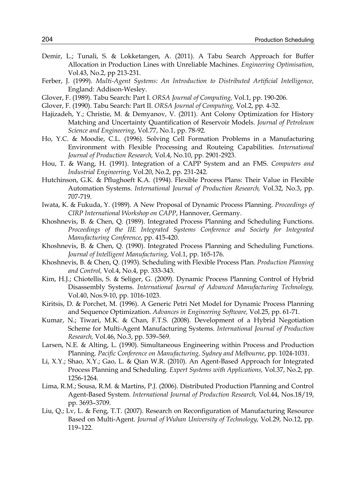- Demir, L.; Tunali, S. & Lokketangen, A. (2011). A Tabu Search Approach for Buffer Allocation in Production Lines with Unreliable Machines. *Engineering Optimisation*, Vol.43, No.2, pp 213-231.
- Ferber, J. (1999). *Multi-Agent Systems: An Introduction to Distributed Artificial Intelligence,* England: Addison-Wesley.
- Glover, F. (1989). Tabu Search: Part I. *ORSA Journal of Computing,* Vol.1, pp. 190-206.
- Glover, F. (1990). Tabu Search: Part II. *ORSA Journal of Computing,* Vol.2, pp. 4-32.
- Hajizadeh, Y.; Christie, M. & Demyanov, V. (2011). Ant Colony Optimization for History Matching and Uncertainty Quantification of Reservoir Models. *Journal of Petroleum Science and Engineering*, Vol.77, No.1, pp. 78-92.
- Ho, Y.C. & Moodie, C.L. (1996). Solving Cell Formation Problems in a Manufacturing Environment with Flexible Processing and Routeing Capabilities. *International Journal of Production Research,* Vol.4, No.10, pp. 2901-2923.
- Hou, T. & Wang, H. (1991). Integration of a CAPP System and an FMS. *Computers and Industrial Engineering,* Vol.20, No.2, pp. 231-242.
- Hutchinson, G.K. & Pflughoeft K.A. (1994). Flexible Process Plans: Their Value in Flexible Automation Systems. *International Journal of Production Research,* Vol.32, No.3, pp. 707-719.
- Iwata, K. & Fukuda, Y. (1989). A New Proposal of Dynamic Process Planning. *Proceedings of CIRP International Workshop on CAPP*, Hannover, Germany.
- Khoshnevis, B. & Chen, Q. (1989). Integrated Process Planning and Scheduling Functions. *Proceedings of the IIE Integrated Systems Conference and Society for Integrated Manufacturing Conference*, pp. 415-420.
- Khoshnevis, B. & Chen, Q. (1990). Integrated Process Planning and Scheduling Functions. *Journal of Intelligent Manufacturing,* Vol.1, pp. 165-176.
- Khoshnevis, B. & Chen, Q. (1993). Scheduling with Flexible Process Plan. *Production Planning and Control,* Vol.4, No.4, pp. 333-343.
- Kim, H.J.; Chiotellis, S. & Seliger, G. (2009). Dynamic Process Planning Control of Hybrid Disassembly Systems. *International Journal of Advanced Manufacturing Technology,*  Vol.40, Nos.9-10, pp. 1016-1023.
- Kiritsis, D. & Porchet, M. (1996). A Generic Petri Net Model for Dynamic Process Planning and Sequence Optimization. *Advances in Engineering Software,* Vol.25, pp. 61-71.
- Kumar, N.; Tiwari, M.K. & Chan, F.T.S. (2008). Development of a Hybrid Negotiation Scheme for Multi-Agent Manufacturing Systems. *International Journal of Production Research,* Vol.46, No.3, pp. 539–569.
- Larsen, N.E. & Alting, L. (1990). Simultaneous Engineering within Process and Production Planning. *Pacific Conference on Manufacturing, Sydney and Melbourne*, pp. 1024-1031.
- Li, X.Y.; Shao, X.Y.; Gao, L. & Qian W.R. (2010). An Agent-Based Approach for Integrated Process Planning and Scheduling. *Expert Systems with Applications,* Vol.37, No.2, pp. 1256-1264.
- Lima, R.M.; Sousa, R.M. & Martins, P.J. (2006). Distributed Production Planning and Control Agent-Based System. *International Journal of Production Research,* Vol.44, Nos.18/19, pp. 3693–3709.
- Liu, Q.; Lv, L. & Feng, T.T. (2007). Research on Reconfiguration of Manufacturing Resource Based on Multi-Agent. *Journal of Wuhan University of Technology,* Vol.29, No.12, pp. 119–122.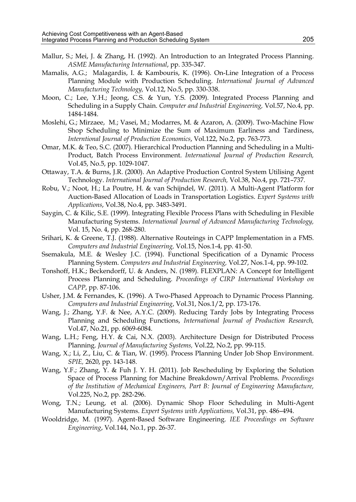- Mallur, S.; Mei, J. & Zhang, H. (1992). An Introduction to an Integrated Process Planning. *ASME Manufacturing International*, pp. 335-347.
- Mamalis, A.G.; Malagardis, I. & Kambouris, K. (1996). On-Line Integration of a Process Planning Module with Production Scheduling. *International Journal of Advanced Manufacturing Technology,* Vol.12, No.5, pp. 330-338.
- Moon, C.; Lee, Y.H.; Jeong, C.S. & Yun, Y.S. (2009). Integrated Process Planning and Scheduling in a Supply Chain. *Computer and Industrial Engineering,* Vol.57, No.4, pp. 1484-1484.
- Moslehi, G.; Mirzaee, M.; Vasei, M.; Modarres, M. & Azaron, A. (2009). Two-Machine Flow Shop Scheduling to Minimize the Sum of Maximum Earliness and Tardiness, *Interntional Journal of Production Economics*, Vol.122, No.2, pp. 763-773.
- Omar, M.K. & Teo, S.C. (2007). Hierarchical Production Planning and Scheduling in a Multi-Product, Batch Process Environment. *International Journal of Production Research,*  Vol.45, No.5, pp. 1029-1047.
- Ottaway, T.A. & Burns, J.R. (2000). An Adaptive Production Control System Utilising Agent Technology. *International Journal of Production Research,* Vol.38, No.4, pp. 721–737.
- Robu, V.; Noot, H.; La Poutre, H. & van Schijndel, W. (2011). A Multi-Agent Platform for Auction-Based Allocation of Loads in Transportation Logistics. *Expert Systems with Applications*, Vol.38, No.4, pp. 3483-3491.
- Saygin, C. & Kilic, S.E. (1999). Integrating Flexible Process Plans with Scheduling in Flexible Manufacturing Systems. *International Journal of Advanced Manufacturing Technology,*  Vol. 15, No. 4, pp. 268-280.
- Srihari, K. & Greene, T.J. (1988). Alternative Routeings in CAPP Implementation in a FMS. *Computers and Industrial Engineering,* Vol.15, Nos.1-4, pp. 41-50.
- Ssemakula, M.E. & Wesley J.C. (1994). Functional Specification of a Dynamic Process Planning System. *Computers and Industrial Engineering,* Vol.27, Nos.1-4, pp. 99-102.
- Tonshoff, H.K.; Beckendorff, U. & Anders, N. (1989). FLEXPLAN: A Concept for Intelligent Process Planning and Scheduling. *Proceedings of CIRP International Workshop on CAPP*, pp. 87-106.
- Usher, J.M. & Fernandes, K. (1996). A Two-Phased Approach to Dynamic Process Planning. *Computers and Industrial Engineering*, Vol.31, Nos.1/2, pp. 173-176.
- Wang, J.; Zhang, Y.F. & Nee, A.Y.C. (2009). Reducing Tardy Jobs by Integrating Process Planning and Scheduling Functions, *International Journal of Production Research,*  Vol.47, No.21, pp. 6069-6084.
- Wang, L.H.; Feng, H.Y. & Cai, N.X. (2003). Architecture Design for Distributed Process Planning. *Journal of Manufacturing Systems,* Vol.22, No.2, pp. 99-115.
- Wang, X.; Li, Z., Liu, C. & Tian, W. (1995). Process Planning Under Job Shop Environment. *SPIE,* 2620, pp. 143-148.
- Wang, Y.F.; Zhang, Y. & Fuh J. Y. H. (2011). Job Rescheduling by Exploring the Solution Space of Process Planning for Machine Breakdown/Arrival Problems. *Proceedings of the Institution of Mechanical Engineers, Part B: Journal of Engineering Manufacture,*  Vol.225, No.2, pp. 282-296.
- Wong, T.N.; Leung, et al*.* (2006). Dynamic Shop Floor Scheduling in Multi-Agent Manufacturing Systems. *Expert Systems with Applications,* Vol.31, pp. 486–494.
- Wooldridge, M. (1997). Agent-Based Software Engineering. *IEE Proceedings on Software Engineering*, Vol.144, No.1, pp. 26-37.